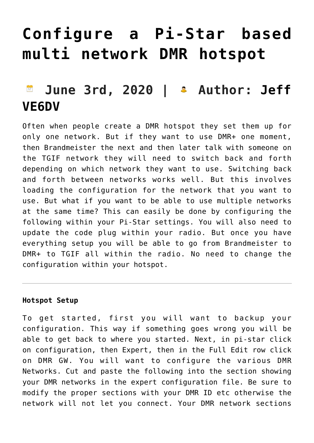# **[Configure a Pi-Star based](https://pistar.eu/configure-a-pi-star-based-multi-network-dmr-hotspot/) [multi network DMR hotspot](https://pistar.eu/configure-a-pi-star-based-multi-network-dmr-hotspot/)**

# **June 3rd, 2020 | Author: [Jeff](https://www.amateurradio.com/author/ve6dv/) [VE6DV](https://www.amateurradio.com/author/ve6dv/)**

Often when people create a DMR hotspot they set them up for only one network. But if they want to use DMR+ one moment, then Brandmeister the next and then later talk with someone on the TGIF network they will need to switch back and forth depending on which network they want to use. Switching back and forth between networks works well. But this involves loading the configuration for the network that you want to use. But what if you want to be able to use multiple networks at the same time? This can easily be done by configuring the following within your Pi-Star settings. You will also need to update the code plug within your radio. But once you have everything setup you will be able to go from Brandmeister to DMR+ to TGIF all within the radio. No need to change the configuration within your hotspot.

# **Hotspot Setup**

To get started, first you will want to backup your configuration. This way if something goes wrong you will be able to get back to where you started. Next, in pi-star click on configuration, then Expert, then in the Full Edit row click on DMR GW. You will want to configure the various DMR Networks. Cut and paste the following into the section showing your DMR networks in the expert configuration file. Be sure to modify the proper sections with your DMR ID etc otherwise the network will not let you connect. Your DMR network sections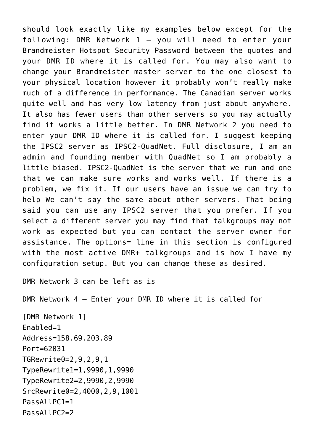should look exactly like my examples below except for the following: DMR Network 1 – you will need to enter your Brandmeister Hotspot Security Password between the quotes and your DMR ID where it is called for. You may also want to change your Brandmeister master server to the one closest to your physical location however it probably won't really make much of a difference in performance. The Canadian server works quite well and has very low latency from just about anywhere. It also has fewer users than other servers so you may actually find it works a little better. In DMR Network 2 you need to enter your DMR ID where it is called for. I suggest keeping the IPSC2 server as IPSC2-QuadNet. Full disclosure, I am an admin and founding member with QuadNet so I am probably a little biased. IPSC2-QuadNet is the server that we run and one that we can make sure works and works well. If there is a problem, we fix it. If our users have an issue we can try to help We can't say the same about other servers. That being said you can use any IPSC2 server that you prefer. If you select a different server you may find that talkgroups may not work as expected but you can contact the server owner for assistance. The options= line in this section is configured with the most active DMR+ talkgroups and is how I have my configuration setup. But you can change these as desired.

DMR Network 3 can be left as is

DMR Network 4 – Enter your DMR ID where it is called for

[DMR Network 1] Enabled=1 Address=158.69.203.89 Port=62031 TGRewrite0=2,9,2,9,1 TypeRewrite1=1,9990,1,9990 TypeRewrite2=2,9990,2,9990 SrcRewrite0=2,4000,2,9,1001 PassAllPC1=1 PassAllPC2=2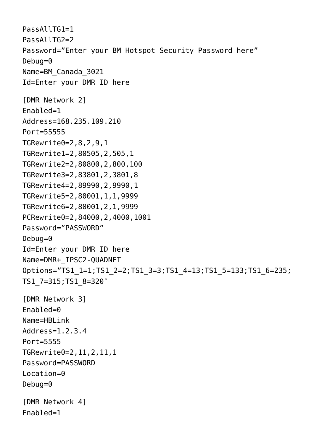```
PassAllTG1=1
PassAllTG2=2
Password="Enter your BM Hotspot Security Password here"
Debug=0
Name=BM_Canada_3021
Id=Enter your DMR ID here
[DMR Network 2]
Enabled=1
Address=168.235.109.210
Port=55555
TGRewrite0=2,8,2,9,1
TGRewrite1=2,80505,2,505,1
TGRewrite2=2,80800,2,800,100
TGRewrite3=2,83801,2,3801,8
TGRewrite4=2,89990,2,9990,1
TGRewrite5=2,80001,1,1,9999
TGRewrite6=2,80001,2,1,9999
PCRewrite0=2,84000,2,4000,1001
Password="PASSWORD"
Debug=0
Id=Enter your DMR ID here
Name=DMR+_IPSC2-QUADNET
Options="TS1_1=1;TS1_2=2;TS1_3=3;TS1_4=13;TS1_5=133;TS1_6=235;
TS1_7=315;TS1_8=320″
[DMR Network 3]
Enabled=0
Name=HBLink
Address=1.2.3.4
Port=5555
TGRewrite0=2,11,2,11,1
Password=PASSWORD
Location=0
Debug=0
[DMR Network 4]
Enabled=1
```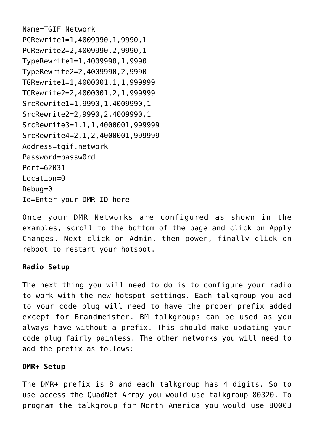```
Name=TGIF_Network
PCRewrite1=1,4009990,1,9990,1
PCRewrite2=2,4009990,2,9990,1
TypeRewrite1=1,4009990,1,9990
TypeRewrite2=2,4009990,2,9990
TGRewrite1=1,4000001,1,1,999999
TGRewrite2=2,4000001,2,1,999999
SrcRewrite1=1,9990,1,4009990,1
SrcRewrite2=2,9990,2,4009990,1
SrcRewrite3=1,1,1,4000001,999999
SrcRewrite4=2,1,2,4000001,999999
Address=tgif.network
Password=passw0rd
Port=62031
Location=0
Debug=0
Id=Enter your DMR ID here
```
Once your DMR Networks are configured as shown in the examples, scroll to the bottom of the page and click on Apply Changes. Next click on Admin, then power, finally click on reboot to restart your hotspot.

#### **Radio Setup**

The next thing you will need to do is to configure your radio to work with the new hotspot settings. Each talkgroup you add to your code plug will need to have the proper prefix added except for Brandmeister. BM talkgroups can be used as you always have without a prefix. This should make updating your code plug fairly painless. The other networks you will need to add the prefix as follows:

#### **DMR+ Setup**

The DMR+ prefix is 8 and each talkgroup has 4 digits. So to use access the QuadNet Array you would use talkgroup 80320. To program the talkgroup for North America you would use 80003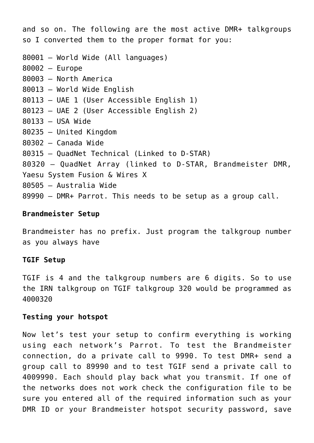and so on. The following are the most active DMR+ talkgroups so I converted them to the proper format for you: 80001 – World Wide (All languages) 80002 – Europe 80003 – North America 80013 – World Wide English 80113 – UAE 1 (User Accessible English 1) 80123 – UAE 2 (User Accessible English 2) 80133 – USA Wide 80235 – United Kingdom 80302 – Canada Wide 80315 – QuadNet Technical (Linked to D-STAR) 80320 – QuadNet Array (linked to D-STAR, Brandmeister DMR,

Yaesu System Fusion & Wires X

80505 – Australia Wide

89990 – DMR+ Parrot. This needs to be setup as a group call.

### **Brandmeister Setup**

Brandmeister has no prefix. Just program the talkgroup number as you always have

#### **TGIF Setup**

TGIF is 4 and the talkgroup numbers are 6 digits. So to use the IRN talkgroup on TGIF talkgroup 320 would be programmed as 4000320

#### **Testing your hotspot**

Now let's test your setup to confirm everything is working using each network's Parrot. To test the Brandmeister connection, do a private call to 9990. To test DMR+ send a group call to 89990 and to test TGIF send a private call to 4009990. Each should play back what you transmit. If one of the networks does not work check the configuration file to be sure you entered all of the required information such as your DMR ID or your Brandmeister hotspot security password, save